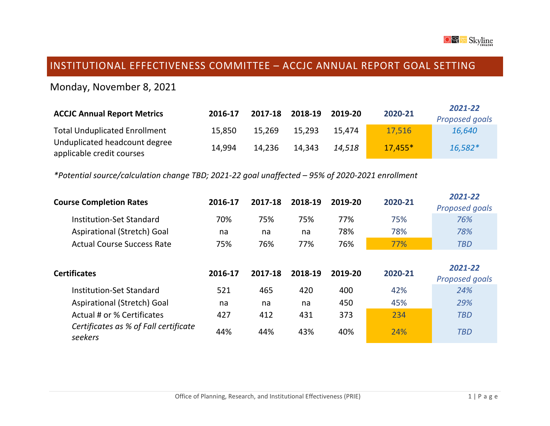

## INSTITUTIONAL EFFECTIVENESS COMMITTEE – ACCJC ANNUAL REPORT GOAL SETTING

Monday, November 8, 2021

| <b>ACCJC Annual Report Metrics</b>                         | 2016-17 | 2017-18 | 2018-19 | 2019-20 | 2020-21   | 2021-22        |
|------------------------------------------------------------|---------|---------|---------|---------|-----------|----------------|
|                                                            |         |         |         |         |           | Proposed goals |
| <b>Total Unduplicated Enrollment</b>                       | 15,850  | 15,269  | 15.293  | 15.474  | 17,516    | 16,640         |
| Unduplicated headcount degree<br>applicable credit courses | 14.994  | 14.236  | 14.343  | 14.518  | $17,455*$ | $16,582*$      |

*\*Potential source/calculation change TBD; 2021-22 goal unaffected – 95% of 2020-2021 enrollment*

| <b>Course Completion Rates</b>        | 2016-17 | 2017-18 | 2018-19 | 2019-20 | 2020-21 | 2021-22<br>Proposed goals |
|---------------------------------------|---------|---------|---------|---------|---------|---------------------------|
| Institution-Set Standard              | 70%     | 75%     | 75%     | 77%     | 75%     | 76%                       |
| Aspirational (Stretch) Goal           | na      | na      | na      | 78%     | 78%     | 78%                       |
| <b>Actual Course Success Rate</b>     | 75%     | 76%     | 77%     | 76%     | 77%     | <b>TBD</b>                |
| <b>Certificates</b>                   | 2016-17 | 2017-18 | 2018-19 | 2019-20 | 2020-21 | 2021-22<br>Proposed goals |
| Institution-Set Standard              | 521     | 465     | 420     | 400     | 42%     | 24%                       |
| Aspirational (Stretch) Goal           | na      | na      | na      | 450     | 45%     | 29%                       |
| Actual # or % Certificates            | 427     | 412     | 431     | 373     | 234     | <b>TBD</b>                |
| Certificates as % of Fall certificate |         |         |         |         |         |                           |